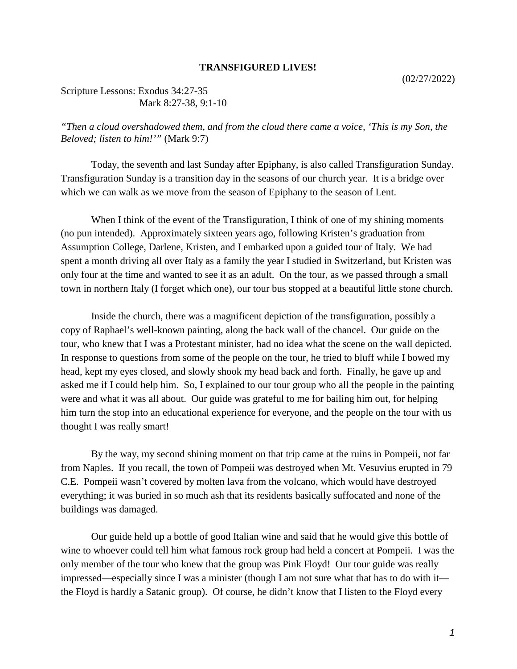## **TRANSFIGURED LIVES!**

Scripture Lessons: Exodus 34:27-35 Mark 8:27-38, 9:1-10

*"Then a cloud overshadowed them, and from the cloud there came a voice, 'This is my Son, the Beloved; listen to him!'"* (Mark 9:7)

Today, the seventh and last Sunday after Epiphany, is also called Transfiguration Sunday. Transfiguration Sunday is a transition day in the seasons of our church year. It is a bridge over which we can walk as we move from the season of Epiphany to the season of Lent.

When I think of the event of the Transfiguration, I think of one of my shining moments (no pun intended). Approximately sixteen years ago, following Kristen's graduation from Assumption College, Darlene, Kristen, and I embarked upon a guided tour of Italy. We had spent a month driving all over Italy as a family the year I studied in Switzerland, but Kristen was only four at the time and wanted to see it as an adult. On the tour, as we passed through a small town in northern Italy (I forget which one), our tour bus stopped at a beautiful little stone church.

Inside the church, there was a magnificent depiction of the transfiguration, possibly a copy of Raphael's well-known painting, along the back wall of the chancel. Our guide on the tour, who knew that I was a Protestant minister, had no idea what the scene on the wall depicted. In response to questions from some of the people on the tour, he tried to bluff while I bowed my head, kept my eyes closed, and slowly shook my head back and forth. Finally, he gave up and asked me if I could help him. So, I explained to our tour group who all the people in the painting were and what it was all about. Our guide was grateful to me for bailing him out, for helping him turn the stop into an educational experience for everyone, and the people on the tour with us thought I was really smart!

By the way, my second shining moment on that trip came at the ruins in Pompeii, not far from Naples. If you recall, the town of Pompeii was destroyed when Mt. Vesuvius erupted in 79 C.E. Pompeii wasn't covered by molten lava from the volcano, which would have destroyed everything; it was buried in so much ash that its residents basically suffocated and none of the buildings was damaged.

Our guide held up a bottle of good Italian wine and said that he would give this bottle of wine to whoever could tell him what famous rock group had held a concert at Pompeii. I was the only member of the tour who knew that the group was Pink Floyd! Our tour guide was really impressed—especially since I was a minister (though I am not sure what that has to do with it the Floyd is hardly a Satanic group). Of course, he didn't know that I listen to the Floyd every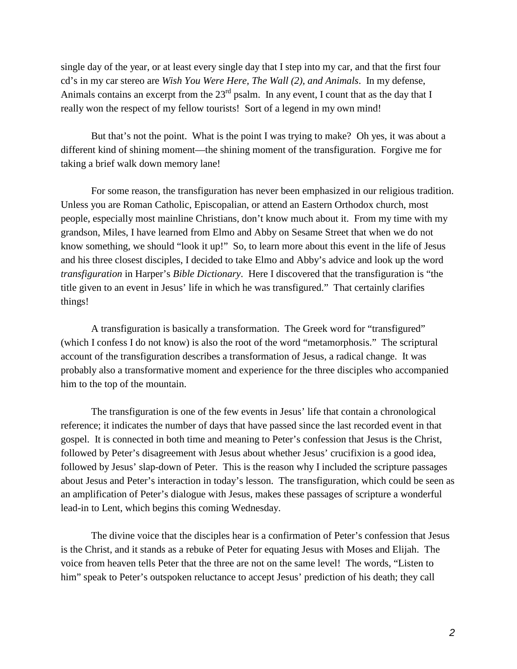single day of the year, or at least every single day that I step into my car, and that the first four cd's in my car stereo are *Wish You Were Here, The Wall (2), and Animals*. In my defense, Animals contains an excerpt from the  $23<sup>rd</sup>$  psalm. In any event, I count that as the day that I really won the respect of my fellow tourists! Sort of a legend in my own mind!

But that's not the point. What is the point I was trying to make? Oh yes, it was about a different kind of shining moment—the shining moment of the transfiguration. Forgive me for taking a brief walk down memory lane!

For some reason, the transfiguration has never been emphasized in our religious tradition. Unless you are Roman Catholic, Episcopalian, or attend an Eastern Orthodox church, most people, especially most mainline Christians, don't know much about it. From my time with my grandson, Miles, I have learned from Elmo and Abby on Sesame Street that when we do not know something, we should "look it up!" So, to learn more about this event in the life of Jesus and his three closest disciples, I decided to take Elmo and Abby's advice and look up the word *transfiguration* in Harper's *Bible Dictionary*. Here I discovered that the transfiguration is "the title given to an event in Jesus' life in which he was transfigured." That certainly clarifies things!

A transfiguration is basically a transformation. The Greek word for "transfigured" (which I confess I do not know) is also the root of the word "metamorphosis." The scriptural account of the transfiguration describes a transformation of Jesus, a radical change. It was probably also a transformative moment and experience for the three disciples who accompanied him to the top of the mountain.

The transfiguration is one of the few events in Jesus' life that contain a chronological reference; it indicates the number of days that have passed since the last recorded event in that gospel. It is connected in both time and meaning to Peter's confession that Jesus is the Christ, followed by Peter's disagreement with Jesus about whether Jesus' crucifixion is a good idea, followed by Jesus' slap-down of Peter. This is the reason why I included the scripture passages about Jesus and Peter's interaction in today's lesson. The transfiguration, which could be seen as an amplification of Peter's dialogue with Jesus, makes these passages of scripture a wonderful lead-in to Lent, which begins this coming Wednesday.

The divine voice that the disciples hear is a confirmation of Peter's confession that Jesus is the Christ, and it stands as a rebuke of Peter for equating Jesus with Moses and Elijah. The voice from heaven tells Peter that the three are not on the same level! The words, "Listen to him" speak to Peter's outspoken reluctance to accept Jesus' prediction of his death; they call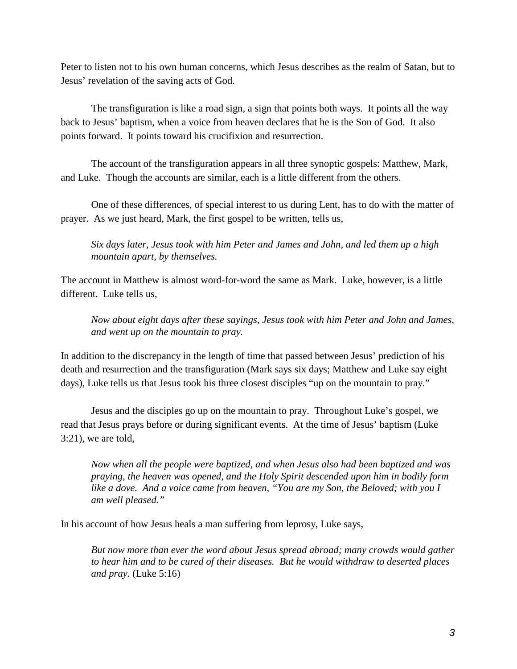Peter to listen not to his own human concerns, which Jesus describes as the realm of Satan, but to Jesus' revelation of the saving acts of God.

The transfiguration is like a road sign, a sign that points both ways. It points all the way back to Jesus' baptism, when a voice from heaven declares that he is the Son of God. It also points forward. It points toward his crucifixion and resurrection.

The account of the transfiguration appears in all three synoptic gospels: Matthew, Mark, and Luke. Though the accounts are similar, each is a little different from the others.

One of these differences, of special interest to us during Lent, has to do with the matter of prayer. As we just heard, Mark, the first gospel to be written, tells us,

*Six days later, Jesus took with him Peter and James and John, and led them up a high mountain apart, by themselves.*

The account in Matthew is almost word-for-word the same as Mark. Luke, however, is a little different. Luke tells us,

*Now about eight days after these sayings, Jesus took with him Peter and John and James, and went up on the mountain to pray.*

In addition to the discrepancy in the length of time that passed between Jesus' prediction of his death and resurrection and the transfiguration (Mark says six days; Matthew and Luke say eight days), Luke tells us that Jesus took his three closest disciples "up on the mountain to pray."

Jesus and the disciples go up on the mountain to pray. Throughout Luke's gospel, we read that Jesus prays before or during significant events. At the time of Jesus' baptism (Luke 3:21), we are told,

*Now when all the people were baptized, and when Jesus also had been baptized and was praying, the heaven was opened, and the Holy Spirit descended upon him in bodily form like a dove. And a voice came from heaven, "You are my Son, the Beloved; with you I am well pleased."*

In his account of how Jesus heals a man suffering from leprosy, Luke says,

*But now more than ever the word about Jesus spread abroad; many crowds would gather to hear him and to be cured of their diseases. But he would withdraw to deserted places and pray.* (Luke 5:16)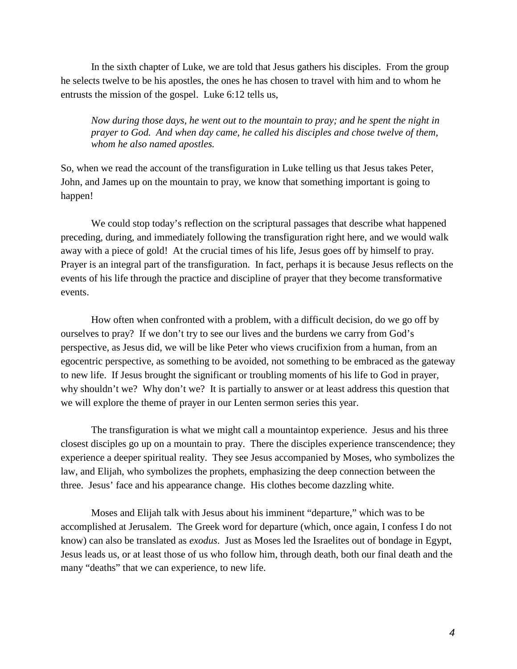In the sixth chapter of Luke, we are told that Jesus gathers his disciples. From the group he selects twelve to be his apostles, the ones he has chosen to travel with him and to whom he entrusts the mission of the gospel. Luke 6:12 tells us,

*Now during those days, he went out to the mountain to pray; and he spent the night in prayer to God. And when day came, he called his disciples and chose twelve of them, whom he also named apostles.*

So, when we read the account of the transfiguration in Luke telling us that Jesus takes Peter, John, and James up on the mountain to pray, we know that something important is going to happen!

We could stop today's reflection on the scriptural passages that describe what happened preceding, during, and immediately following the transfiguration right here, and we would walk away with a piece of gold! At the crucial times of his life, Jesus goes off by himself to pray. Prayer is an integral part of the transfiguration. In fact, perhaps it is because Jesus reflects on the events of his life through the practice and discipline of prayer that they become transformative events.

How often when confronted with a problem, with a difficult decision, do we go off by ourselves to pray? If we don't try to see our lives and the burdens we carry from God's perspective, as Jesus did, we will be like Peter who views crucifixion from a human, from an egocentric perspective, as something to be avoided, not something to be embraced as the gateway to new life. If Jesus brought the significant or troubling moments of his life to God in prayer, why shouldn't we? Why don't we? It is partially to answer or at least address this question that we will explore the theme of prayer in our Lenten sermon series this year.

The transfiguration is what we might call a mountaintop experience. Jesus and his three closest disciples go up on a mountain to pray. There the disciples experience transcendence; they experience a deeper spiritual reality. They see Jesus accompanied by Moses, who symbolizes the law, and Elijah, who symbolizes the prophets, emphasizing the deep connection between the three. Jesus' face and his appearance change. His clothes become dazzling white.

Moses and Elijah talk with Jesus about his imminent "departure," which was to be accomplished at Jerusalem. The Greek word for departure (which, once again, I confess I do not know) can also be translated as *exodus*. Just as Moses led the Israelites out of bondage in Egypt, Jesus leads us, or at least those of us who follow him, through death, both our final death and the many "deaths" that we can experience, to new life.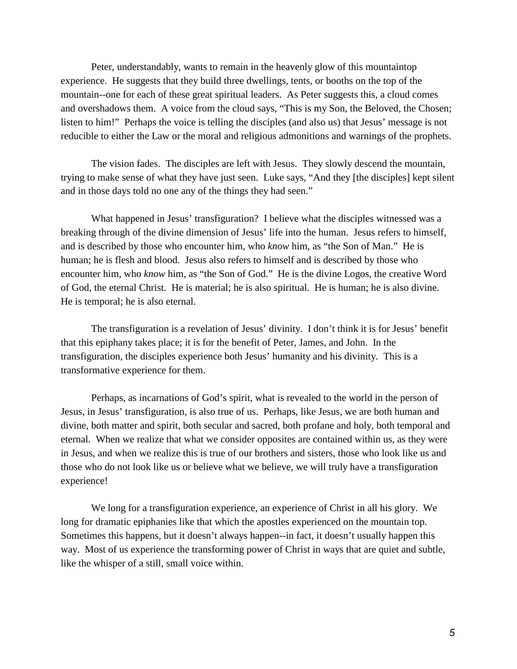Peter, understandably, wants to remain in the heavenly glow of this mountaintop experience. He suggests that they build three dwellings, tents, or booths on the top of the mountain--one for each of these great spiritual leaders. As Peter suggests this, a cloud comes and overshadows them. A voice from the cloud says, "This is my Son, the Beloved, the Chosen; listen to him!" Perhaps the voice is telling the disciples (and also us) that Jesus' message is not reducible to either the Law or the moral and religious admonitions and warnings of the prophets.

The vision fades. The disciples are left with Jesus. They slowly descend the mountain, trying to make sense of what they have just seen. Luke says, "And they [the disciples] kept silent and in those days told no one any of the things they had seen."

What happened in Jesus' transfiguration? I believe what the disciples witnessed was a breaking through of the divine dimension of Jesus' life into the human. Jesus refers to himself, and is described by those who encounter him, who *know* him, as "the Son of Man." He is human; he is flesh and blood. Jesus also refers to himself and is described by those who encounter him, who *know* him, as "the Son of God." He is the divine Logos, the creative Word of God, the eternal Christ. He is material; he is also spiritual. He is human; he is also divine. He is temporal; he is also eternal.

The transfiguration is a revelation of Jesus' divinity. I don't think it is for Jesus' benefit that this epiphany takes place; it is for the benefit of Peter, James, and John. In the transfiguration, the disciples experience both Jesus' humanity and his divinity. This is a transformative experience for them.

Perhaps, as incarnations of God's spirit, what is revealed to the world in the person of Jesus, in Jesus' transfiguration, is also true of us. Perhaps, like Jesus, we are both human and divine, both matter and spirit, both secular and sacred, both profane and holy, both temporal and eternal. When we realize that what we consider opposites are contained within us, as they were in Jesus, and when we realize this is true of our brothers and sisters, those who look like us and those who do not look like us or believe what we believe, we will truly have a transfiguration experience!

We long for a transfiguration experience, an experience of Christ in all his glory. We long for dramatic epiphanies like that which the apostles experienced on the mountain top. Sometimes this happens, but it doesn't always happen--in fact, it doesn't usually happen this way. Most of us experience the transforming power of Christ in ways that are quiet and subtle, like the whisper of a still, small voice within.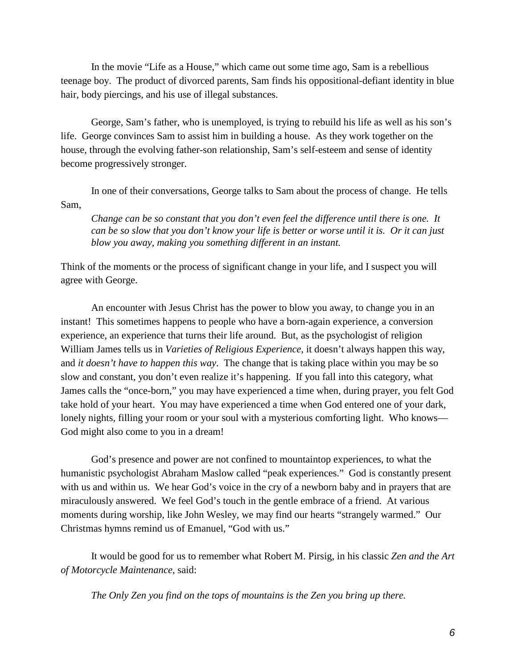In the movie "Life as a House," which came out some time ago, Sam is a rebellious teenage boy. The product of divorced parents, Sam finds his oppositional-defiant identity in blue hair, body piercings, and his use of illegal substances.

George, Sam's father, who is unemployed, is trying to rebuild his life as well as his son's life. George convinces Sam to assist him in building a house. As they work together on the house, through the evolving father-son relationship, Sam's self-esteem and sense of identity become progressively stronger.

In one of their conversations, George talks to Sam about the process of change. He tells Sam,

*Change can be so constant that you don't even feel the difference until there is one. It can be so slow that you don't know your life is better or worse until it is. Or it can just blow you away, making you something different in an instant.*

Think of the moments or the process of significant change in your life, and I suspect you will agree with George.

An encounter with Jesus Christ has the power to blow you away, to change you in an instant! This sometimes happens to people who have a born-again experience, a conversion experience, an experience that turns their life around. But, as the psychologist of religion William James tells us in *Varieties of Religious Experience*, it doesn't always happen this way, and *it doesn't have to happen this way*. The change that is taking place within you may be so slow and constant, you don't even realize it's happening. If you fall into this category, what James calls the "once-born," you may have experienced a time when, during prayer, you felt God take hold of your heart. You may have experienced a time when God entered one of your dark, lonely nights, filling your room or your soul with a mysterious comforting light. Who knows— God might also come to you in a dream!

God's presence and power are not confined to mountaintop experiences, to what the humanistic psychologist Abraham Maslow called "peak experiences." God is constantly present with us and within us. We hear God's voice in the cry of a newborn baby and in prayers that are miraculously answered. We feel God's touch in the gentle embrace of a friend. At various moments during worship, like John Wesley, we may find our hearts "strangely warmed." Our Christmas hymns remind us of Emanuel, "God with us."

It would be good for us to remember what Robert M. Pirsig, in his classic *Zen and the Art of Motorcycle Maintenance*, said:

*The Only Zen you find on the tops of mountains is the Zen you bring up there.*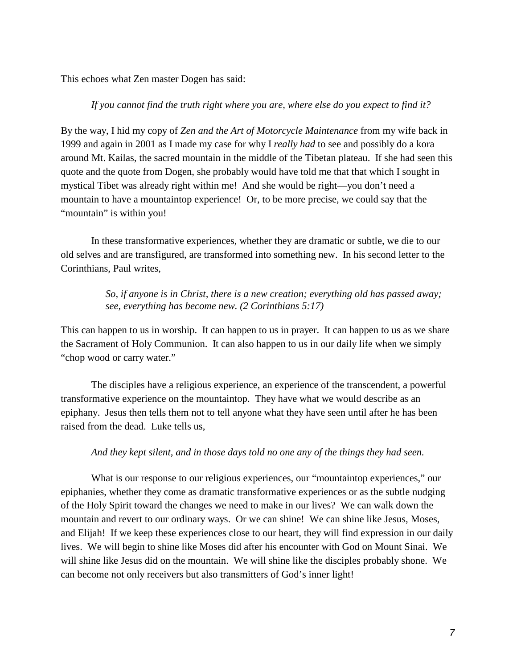This echoes what Zen master Dogen has said:

## *If you cannot find the truth right where you are, where else do you expect to find it?*

By the way, I hid my copy of *Zen and the Art of Motorcycle Maintenance* from my wife back in 1999 and again in 2001 as I made my case for why I *really had* to see and possibly do a kora around Mt. Kailas, the sacred mountain in the middle of the Tibetan plateau. If she had seen this quote and the quote from Dogen, she probably would have told me that that which I sought in mystical Tibet was already right within me! And she would be right—you don't need a mountain to have a mountaintop experience! Or, to be more precise, we could say that the "mountain" is within you!

In these transformative experiences, whether they are dramatic or subtle, we die to our old selves and are transfigured, are transformed into something new. In his second letter to the Corinthians, Paul writes,

> *So, if anyone is in Christ, there is a new creation; everything old has passed away; see, everything has become new. (2 Corinthians 5:17)*

This can happen to us in worship. It can happen to us in prayer. It can happen to us as we share the Sacrament of Holy Communion. It can also happen to us in our daily life when we simply "chop wood or carry water."

The disciples have a religious experience, an experience of the transcendent, a powerful transformative experience on the mountaintop. They have what we would describe as an epiphany. Jesus then tells them not to tell anyone what they have seen until after he has been raised from the dead. Luke tells us,

## *And they kept silent, and in those days told no one any of the things they had seen.*

What is our response to our religious experiences, our "mountaintop experiences," our epiphanies, whether they come as dramatic transformative experiences or as the subtle nudging of the Holy Spirit toward the changes we need to make in our lives? We can walk down the mountain and revert to our ordinary ways. Or we can shine! We can shine like Jesus, Moses, and Elijah! If we keep these experiences close to our heart, they will find expression in our daily lives. We will begin to shine like Moses did after his encounter with God on Mount Sinai. We will shine like Jesus did on the mountain. We will shine like the disciples probably shone. We can become not only receivers but also transmitters of God's inner light!